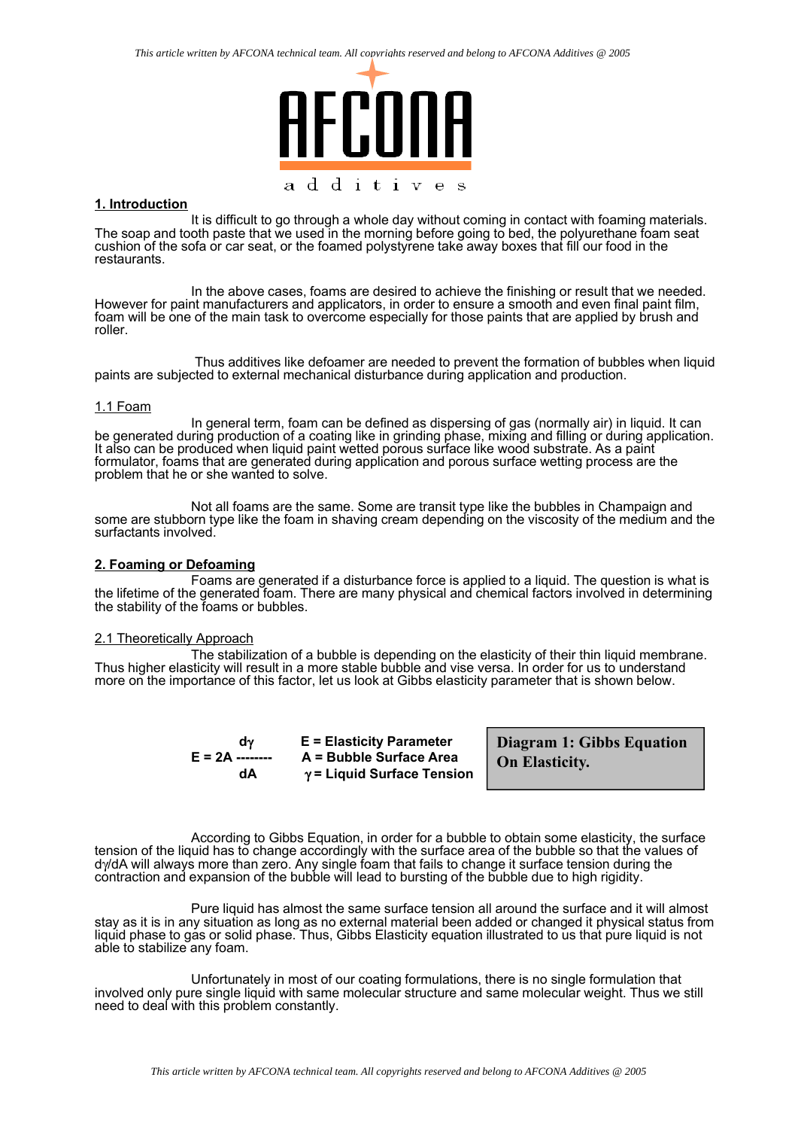

#### **1. Introduction**

It is difficult to go through a whole day without coming in contact with foaming materials. The soap and tooth paste that we used in the morning before going to bed, the polyurethane foam seat cushion of the sofa or car seat, or the foamed polystyrene take away boxes that fill our food in the restaurants.

In the above cases, foams are desired to achieve the finishing or result that we needed. However for paint manufacturers and applicators, in order to ensure a smooth and even final paint film, foam will be one of the main task to overcome especially for those paints that are applied by brush and roller.

Thus additives like defoamer are needed to prevent the formation of bubbles when liquid paints are subjected to external mechanical disturbance during application and production.

#### 1.1 Foam

In general term, foam can be defined as dispersing of gas (normally air) in liquid. It can be generated during production of a coating like in grinding phase, mixing and filling or during application. It also can be produced when liquid paint wetted porous surface like wood substrate. As a paint formulator, foams that are generated during application and porous surface wetting process are the problem that he or she wanted to solve.

Not all foams are the same. Some are transit type like the bubbles in Champaign and some are stubborn type like the foam in shaving cream depending on the viscosity of the medium and the surfactants involved.

#### **2. Foaming or Defoaming**

Foams are generated if a disturbance force is applied to a liquid. The question is what is the lifetime of the generated foam. There are many physical and chemical factors involved in determining the stability of the foams or bubbles.

### 2.1 Theoretically Approach

The stabilization of a bubble is depending on the elasticity of their thin liquid membrane. Thus higher elasticity will result in a more stable bubble and vise versa. In order for us to understand more on the importance of this factor, let us look at Gibbs elasticity parameter that is shown below.

**E** = Elasticity Parameter **E = 2A -------- A = Bubble Surface Area dA** γ **= Liquid Surface Tension**  **Diagram 1: Gibbs Equation On Elasticity.**

According to Gibbs Equation, in order for a bubble to obtain some elasticity, the surface tension of the liquid has to change accordingly with the surface area of the bubble so that the values of dγ/dA will always more than zero. Any single foam that fails to change it surface tension during the contraction and expansion of the bubble will lead to bursting of the bubble due to high rigidity.

Pure liquid has almost the same surface tension all around the surface and it will almost stay as it is in any situation as long as no external material been added or changed it physical status from liquid phase to gas or solid phase. Thus, Gibbs Elasticity equation illustrated to us that pure liquid is not able to stabilize any foam.

Unfortunately in most of our coating formulations, there is no single formulation that involved only pure single liquid with same molecular structure and same molecular weight. Thus we still need to deal with this problem constantly.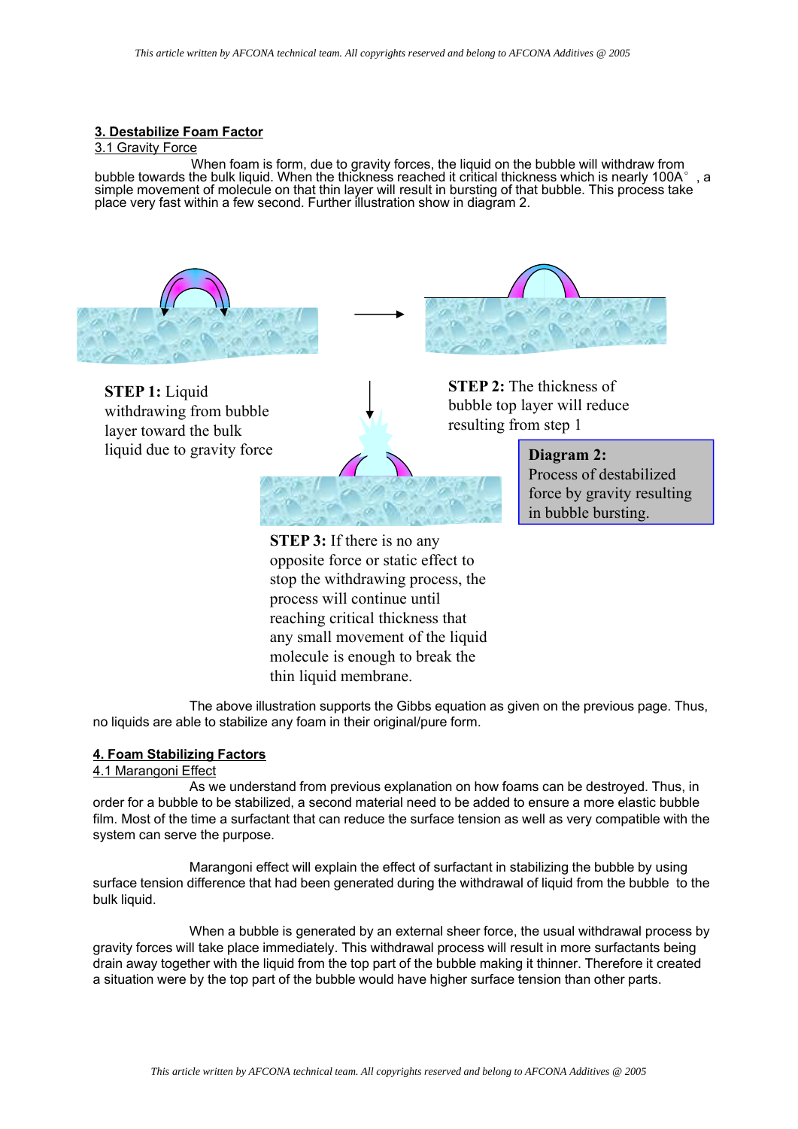# **3. Destabilize Foam Factor**

### 3.1 Gravity Force

When foam is form, due to gravity forces, the liquid on the bubble will withdraw from bubble towards the bulk liquid. When the thickness reached it critical thickness which is nearly 100A $^{\circ}$  , a simple movement of molecule on that thin layer will result in bursting of that bubble. This process take place very fast within a few second. Further illustration show in diagram 2.



**STEP 1:** Liquid withdrawing from bubble layer toward the bulk liquid due to gravity force

**STEP 2:** The thickness of bubble top layer will reduce resulting from step 1



**Diagram 2:** Process of destabilized force by gravity resulting in bubble bursting.

**STEP 3:** If there is no any opposite force or static effect to stop the withdrawing process, the process will continue until reaching critical thickness that any small movement of the liquid molecule is enough to break the thin liquid membrane.

The above illustration supports the Gibbs equation as given on the previous page. Thus, no liquids are able to stabilize any foam in their original/pure form.

## **4. Foam Stabilizing Factors**

### 4.1 Marangoni Effect

As we understand from previous explanation on how foams can be destroyed. Thus, in order for a bubble to be stabilized, a second material need to be added to ensure a more elastic bubble film. Most of the time a surfactant that can reduce the surface tension as well as very compatible with the system can serve the purpose.

Marangoni effect will explain the effect of surfactant in stabilizing the bubble by using surface tension difference that had been generated during the withdrawal of liquid from the bubble to the bulk liquid.

When a bubble is generated by an external sheer force, the usual withdrawal process by gravity forces will take place immediately. This withdrawal process will result in more surfactants being drain away together with the liquid from the top part of the bubble making it thinner. Therefore it created a situation were by the top part of the bubble would have higher surface tension than other parts.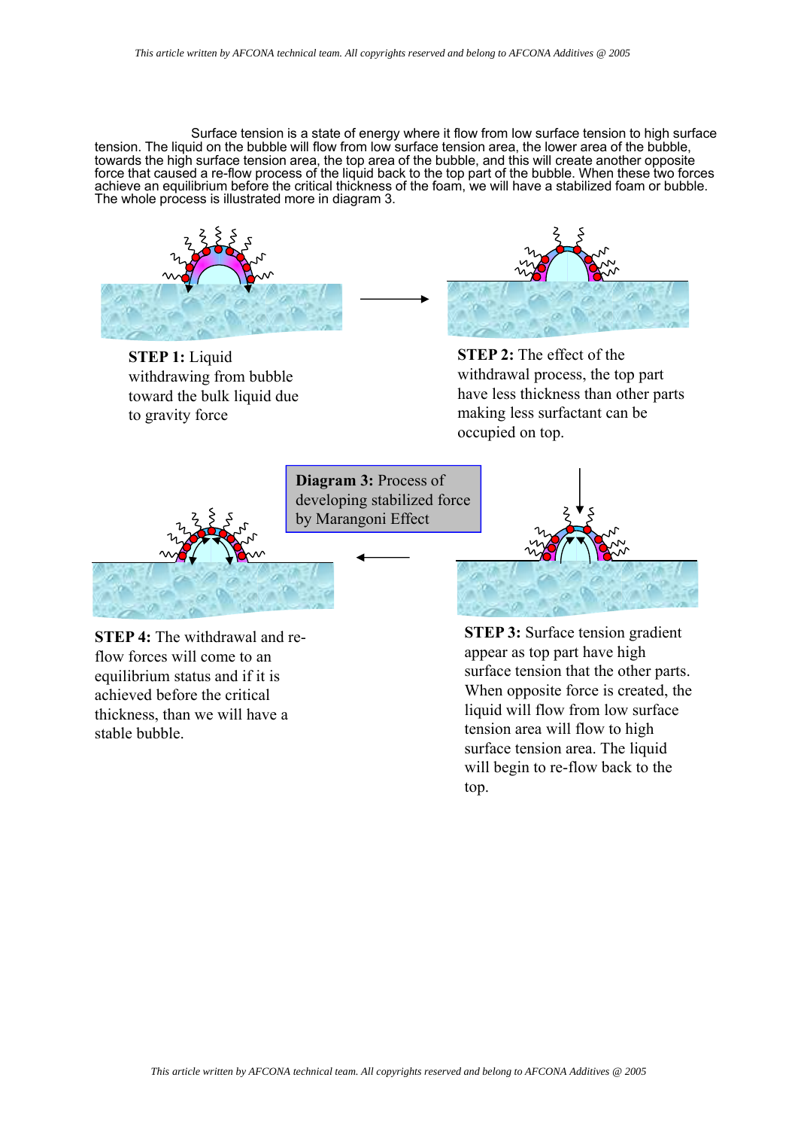Surface tension is a state of energy where it flow from low surface tension to high surface tension. The liquid on the bubble will flow from low surface tension area, the lower area of the bubble, towards the high surface tension area, the top area of the bubble, and this will create another opposite force that caused a re-flow process of the liquid back to the top part of the bubble. When these two forces achieve an equilibrium before the critical thickness of the foam, we will have a stabilized foam or bubble. The whole process is illustrated more in diagram 3.



**STEP 1:** Liquid withdrawing from bubble toward the bulk liquid due to gravity force



**STEP 2:** The effect of the withdrawal process, the top part have less thickness than other parts making less surfactant can be occupied on top.



**STEP 4:** The withdrawal and reflow forces will come to an equilibrium status and if it is achieved before the critical thickness, than we will have a stable bubble.

**STEP 3:** Surface tension gradient appear as top part have high surface tension that the other parts. When opposite force is created, the liquid will flow from low surface tension area will flow to high surface tension area. The liquid will begin to re-flow back to the top.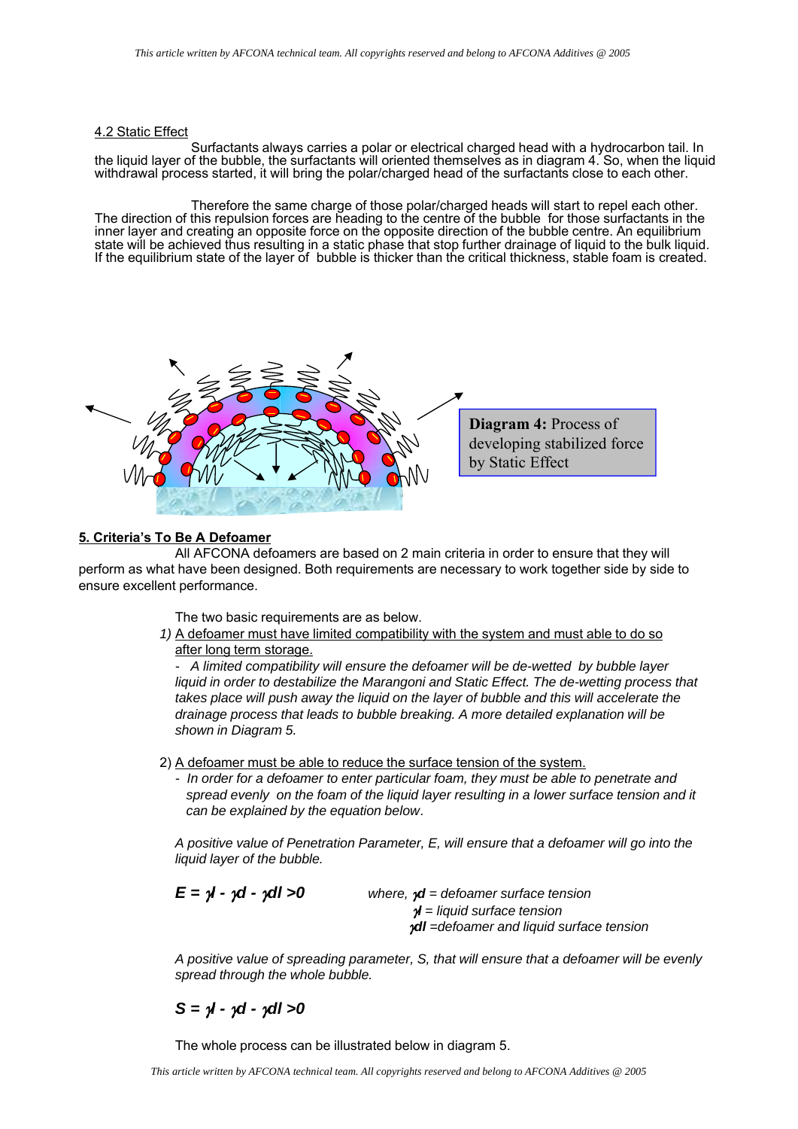### 4.2 Static Effect

Surfactants always carries a polar or electrical charged head with a hydrocarbon tail. In the liquid layer of the bubble, the surfactants will oriented themselves as in diagram 4. So, when the liquid withdrawal process started, it will bring the polar/charged head of the surfactants close to each other.

Therefore the same charge of those polar/charged heads will start to repel each other. The direction of this repulsion forces are heading to the centre of the bubble for those surfactants in the inner layer and creating an opposite force on the opposite direction of the bubble centre. An equilibrium state will be achieved thus resulting in a static phase that stop further drainage of liquid to the bulk liquid. If the equilibrium state of the layer of bubble is thicker than the critical thickness, stable foam is created.



### **5. Criteria's To Be A Defoamer**

All AFCONA defoamers are based on 2 main criteria in order to ensure that they will perform as what have been designed. Both requirements are necessary to work together side by side to ensure excellent performance.

The two basic requirements are as below.

*1)* A defoamer must have limited compatibility with the system and must able to do so after long term storage.

*- A limited compatibility will ensure the defoamer will be de-wetted by bubble layer*  liquid in order to destabilize the Marangoni and Static Effect. The de-wetting process that *takes place will push away the liquid on the layer of bubble and this will accelerate the drainage process that leads to bubble breaking. A more detailed explanation will be shown in Diagram 5.*

2) A defoamer must be able to reduce the surface tension of the system.

*- In order for a defoamer to enter particular foam, they must be able to penetrate and spread evenly on the foam of the liquid layer resulting in a lower surface tension and it can be explained by the equation below*.

*A positive value of Penetration Parameter, E, will ensure that a defoamer will go into the liquid layer of the bubble.*

*E =* γ*l -* γ*d -* γ*dl >0 where,* γ*d = defoamer surface tension* γ*l = liquid surface tension* γ*dl =defoamer and liquid surface tension*

*A positive value of spreading parameter, S, that will ensure that a defoamer will be evenly spread through the whole bubble.*

*S =* γ*l -* γ*d -* γ*dl >0*

The whole process can be illustrated below in diagram 5.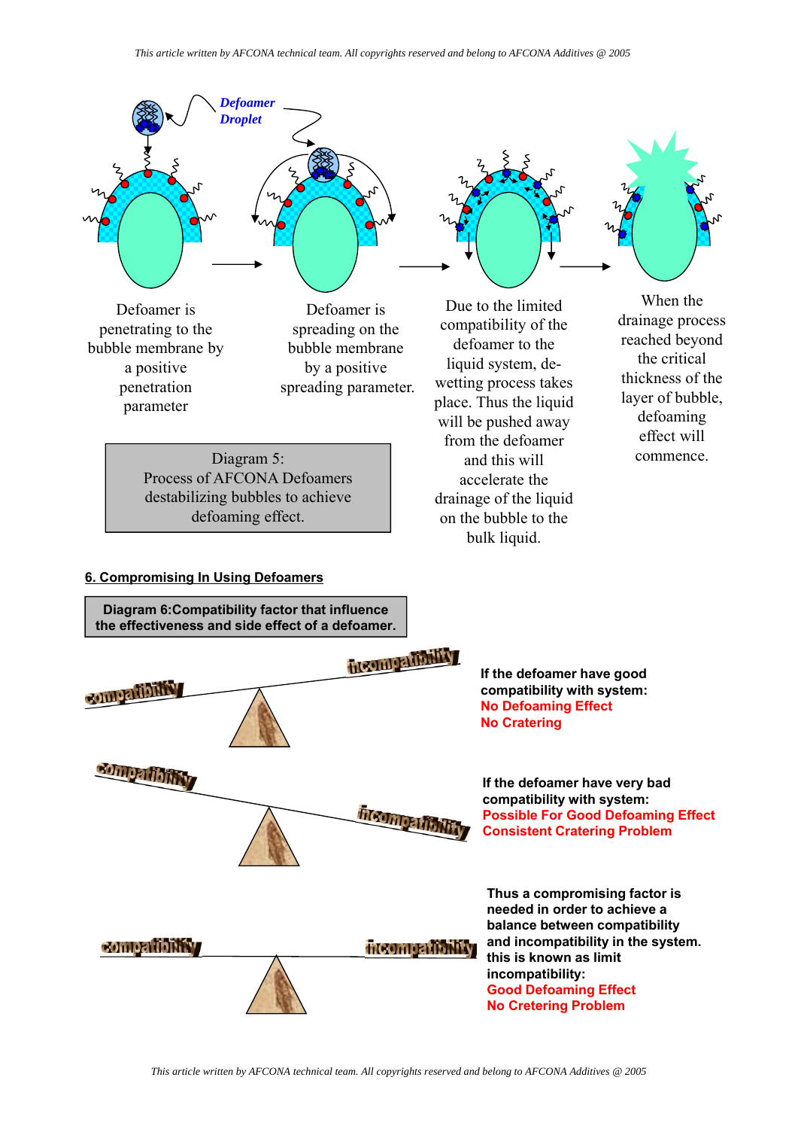

**No Cretering Problem**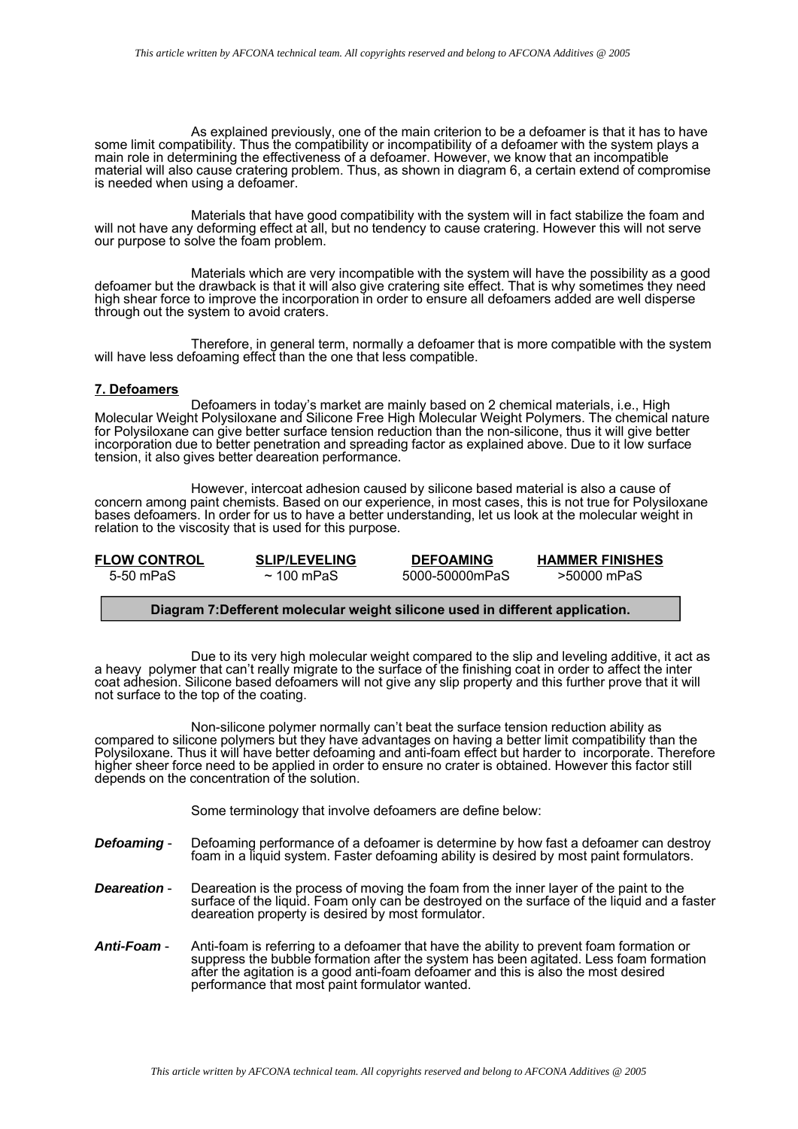As explained previously, one of the main criterion to be a defoamer is that it has to have some limit compatibility. Thus the compatibility or incompatibility of a defoamer with the system plays a main role in determining the effectiveness of a defoamer. However, we know that an incompatible material will also cause cratering problem. Thus, as shown in diagram 6, a certain extend of compromise is needed when using a defoamer.

Materials that have good compatibility with the system will in fact stabilize the foam and will not have any deforming effect at all, but no tendency to cause cratering. However this will not serve our purpose to solve the foam problem.

Materials which are very incompatible with the system will have the possibility as a good defoamer but the drawback is that it will also give cratering site effect. That is why sometimes they need high shear force to improve the incorporation in order to ensure all defoamers added are well disperse through out the system to avoid craters.

Therefore, in general term, normally a defoamer that is more compatible with the system will have less defoaming effect than the one that less compatible.

### **7. Defoamers**

Defoamers in today's market are mainly based on 2 chemical materials, i.e., High Molecular Weight Polysiloxane and Silicone Free High Molecular Weight Polymers. The chemical nature for Polysiloxane can give better surface tension reduction than the non-silicone, thus it will give better incorporation due to better penetration and spreading factor as explained above. Due to it low surface tension, it also gives better deareation performance.

However, intercoat adhesion caused by silicone based material is also a cause of concern among paint chemists. Based on our experience, in most cases, this is not true for Polysiloxane bases defoamers. In order for us to have a better understanding, let us look at the molecular weight in relation to the viscosity that is used for this purpose.

| <b>FLOW CONTROL</b> | <b>SLIP/LEVELING</b> | <b>DEFOAMING</b> | <b>HAMMER FINISHES</b> |
|---------------------|----------------------|------------------|------------------------|
| 5-50 mPaS           | $\sim$ 100 mPaS      | 5000-50000mPaS   | >50000 mPaS            |

### **Diagram 7:Defferent molecular weight silicone used in different application.**

Due to its very high molecular weight compared to the slip and leveling additive, it act as a heavy polymer that can't really migrate to the surface of the finishing coat in order to affect the inter coat adhesion. Silicone based defoamers will not give any slip property and this further prove that it will not surface to the top of the coating.

Non-silicone polymer normally can't beat the surface tension reduction ability as compared to silicone polymers but they have advantages on having a better limit compatibility than the Polysiloxane. Thus it will have better defoaming and anti-foam effect but harder to incorporate. Therefore higher sheer force need to be applied in order to ensure no crater is obtained. However this factor still depends on the concentration of the solution.

Some terminology that involve defoamers are define below:

- **Defoaming** Defoaming performance of a defoamer is determine by how fast a defoamer can destroy foam in a liquid system. Faster defoaming ability is desired by most paint formulators.
- *Deareation* Deareation is the process of moving the foam from the inner layer of the paint to the surface of the liquid. Foam only can be destroyed on the surface of the liquid and a faster deareation property is desired by most formulator.
- *Anti-Foam* Anti-foam is referring to a defoamer that have the ability to prevent foam formation or suppress the bubble formation after the system has been agitated. Less foam formation after the agitation is a good anti-foam defoamer and this is also the most desired performance that most paint formulator wanted.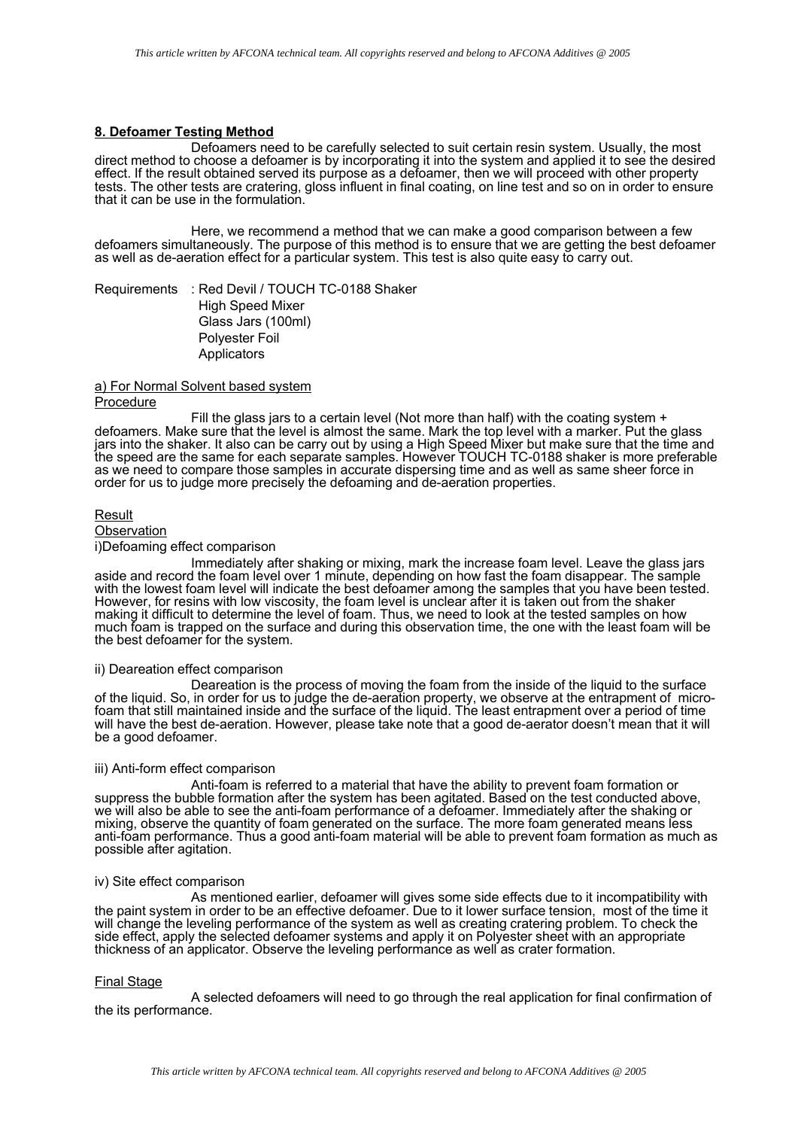### **8. Defoamer Testing Method**

Defoamers need to be carefully selected to suit certain resin system. Usually, the most direct method to choose a defoamer is by incorporating it into the system and applied it to see the desired effect. If the result obtained served its purpose as a defoamer, then we will proceed with other property tests. The other tests are cratering, gloss influent in final coating, on line test and so on in order to ensure that it can be use in the formulation.

Here, we recommend a method that we can make a good comparison between a few defoamers simultaneously. The purpose of this method is to ensure that we are getting the best defoamer as well as de-aeration effect for a particular system. This test is also quite easy to carry out.

Requirements : Red Devil / TOUCH TC-0188 Shaker High Speed Mixer Glass Jars (100ml) Polyester Foil Applicators

### a) For Normal Solvent based system Procedure

Fill the glass jars to a certain level (Not more than half) with the coating system + defoamers. Make sure that the level is almost the same. Mark the top level with a marker. Put the glass jars into the shaker. It also can be carry out by using a High Speed Mixer but make sure that the time and the speed are the same for each separate samples. However TOUCH TC-0188 shaker is more preferable as we need to compare those samples in accurate dispersing time and as well as same sheer force in order for us to judge more precisely the defoaming and de-aeration properties.

#### Result

#### **Observation**

i)Defoaming effect comparison

Immediately after shaking or mixing, mark the increase foam level. Leave the glass jars aside and record the foam level over 1 minute, depending on how fast the foam disappear. The sample with the lowest foam level will indicate the best defoamer among the samples that you have been tested. However, for resins with low viscosity, the foam level is unclear after it is taken out from the shaker making it difficult to determine the level of foam. Thus, we need to look at the tested samples on how much foam is trapped on the surface and during this observation time, the one with the least foam will be the best defoamer for the system.

#### ii) Deareation effect comparison

Deareation is the process of moving the foam from the inside of the liquid to the surface of the liquid. So, in order for us to judge the de-aeration property, we observe at the entrapment of microfoam that still maintained inside and the surface of the liquid. The least entrapment over a period of time will have the best de-aeration. However, please take note that a good de-aerator doesn't mean that it will be a good defoamer.

### iii) Anti-form effect comparison

Anti-foam is referred to a material that have the ability to prevent foam formation or suppress the bubble formation after the system has been agitated. Based on the test conducted above, we will also be able to see the anti-foam performance of a defoamer. Immediately after the shaking or mixing, observe the quantity of foam generated on the surface. The more foam generated means less anti-foam performance. Thus a good anti-foam material will be able to prevent foam formation as much as possible after agitation.

# iv) Site effect comparison

As mentioned earlier, defoamer will gives some side effects due to it incompatibility with the paint system in order to be an effective defoamer. Due to it lower surface tension, most of the time it will change the leveling performance of the system as well as creating cratering problem. To check the side effect, apply the selected defoamer systems and apply it on Polyester sheet with an appropriate thickness of an applicator. Observe the leveling performance as well as crater formation.

#### Final Stage

A selected defoamers will need to go through the real application for final confirmation of the its performance.